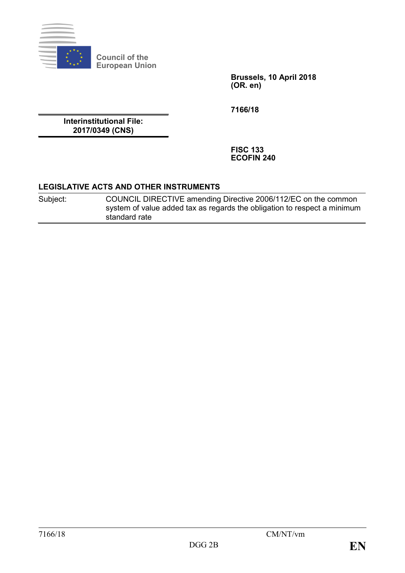

**Council of the European Union**

> **Brussels, 10 April 2018 (OR. en)**

**7166/18**

**Interinstitutional File: 2017/0349 (CNS)**

> **FISC 133 ECOFIN 240**

### **LEGISLATIVE ACTS AND OTHER INSTRUMENTS**

| Subject: | COUNCIL DIRECTIVE amending Directive 2006/112/EC on the common           |
|----------|--------------------------------------------------------------------------|
|          | system of value added tax as regards the obligation to respect a minimum |
|          | standard rate                                                            |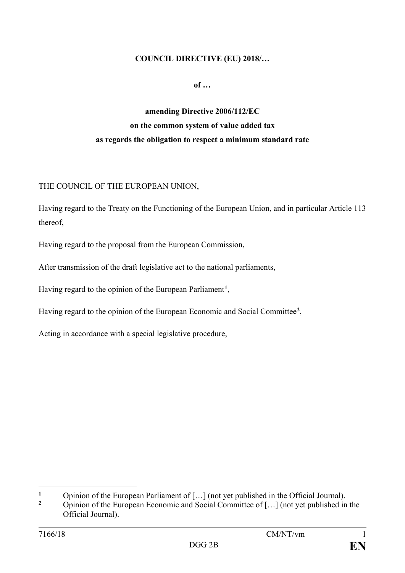### **COUNCIL DIRECTIVE (EU) 2018/…**

**of …**

# **amending Directive 2006/112/EC on the common system of value added tax as regards the obligation to respect a minimum standard rate**

### THE COUNCIL OF THE EUROPEAN UNION,

Having regard to the Treaty on the Functioning of the European Union, and in particular Article 113 thereof,

Having regard to the proposal from the European Commission,

After transmission of the draft legislative act to the national parliaments,

Having regard to the opinion of the European Parliament**[1](#page-1-0)**,

Having regard to the opinion of the European Economic and Social Committee**[2](#page-1-1)**,

Acting in accordance with a special legislative procedure,

<span id="page-1-0"></span> $\mathbf{1}$ <sup>1</sup> Opinion of the European Parliament of […] (not yet published in the Official Journal).

<span id="page-1-1"></span>**<sup>2</sup>** Opinion of the European Economic and Social Committee of […] (not yet published in the Official Journal).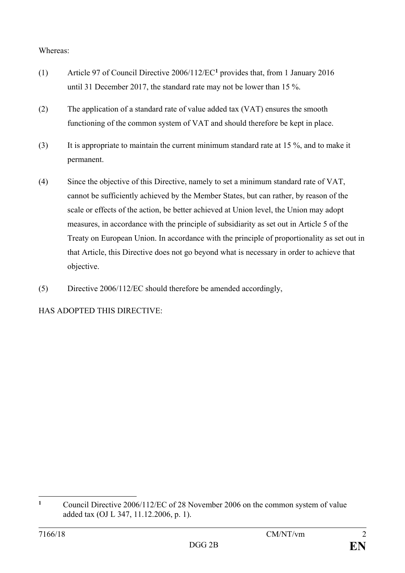# Whereas:

- (1) Article 97 of Council Directive 2006/112/EC**[1](#page-2-0)** provides that, from 1 January 2016 until 31 December 2017, the standard rate may not be lower than 15 %.
- (2) The application of a standard rate of value added tax (VAT) ensures the smooth functioning of the common system of VAT and should therefore be kept in place.
- (3) It is appropriate to maintain the current minimum standard rate at 15 %, and to make it permanent.
- (4) Since the objective of this Directive, namely to set a minimum standard rate of VAT, cannot be sufficiently achieved by the Member States, but can rather, by reason of the scale or effects of the action, be better achieved at Union level, the Union may adopt measures, in accordance with the principle of subsidiarity as set out in Article 5 of the Treaty on European Union. In accordance with the principle of proportionality as set out in that Article, this Directive does not go beyond what is necessary in order to achieve that objective.
- (5) Directive 2006/112/EC should therefore be amended accordingly,

HAS ADOPTED THIS DIRECTIVE:

<span id="page-2-0"></span> $\mathbf{1}$ **<sup>1</sup>** Council Directive 2006/112/EC of 28 November 2006 on the common system of value added tax (OJ L 347, 11.12.2006, p. 1).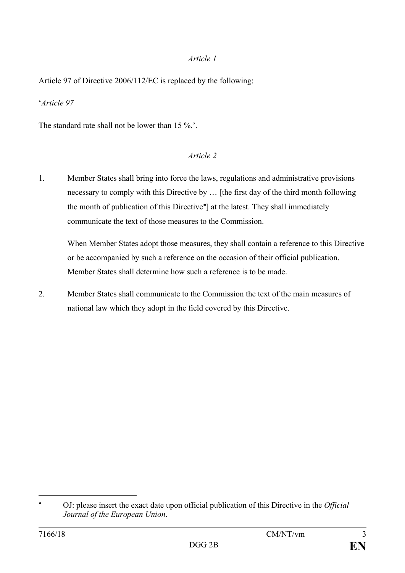# *Article 1*

Article 97 of Directive 2006/112/EC is replaced by the following:

'*Article 97*

The standard rate shall not be lower than 15 %.'.

# *Article 2*

1. Member States shall bring into force the laws, regulations and administrative provisions necessary to comply with this Directive by … [the first day of the third month following the month of publication of this Directive[∗](#page-3-0) ] at the latest. They shall immediately communicate the text of those measures to the Commission.

When Member States adopt those measures, they shall contain a reference to this Directive or be accompanied by such a reference on the occasion of their official publication. Member States shall determine how such a reference is to be made.

2. Member States shall communicate to the Commission the text of the main measures of national law which they adopt in the field covered by this Directive.

 $\overline{a}$ 

<span id="page-3-0"></span><sup>∗</sup> OJ: please insert the exact date upon official publication of this Directive in the *Official Journal of the European Union*.